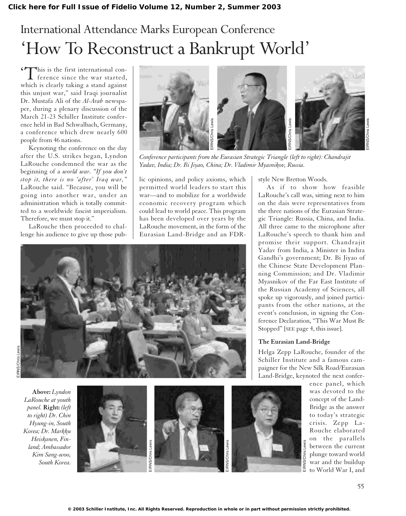## International Attendance Marks European Conference 'How To Reconstruct a Bankrupt World'

'This is the first international con-ference since the war started, which is clearly taking a stand against this unjust war," said Iraqi journalist Dr. Mustafa Ali of the *Al-Arab* newspaper, during a plenary discussion of the March 21-23 Schiller Institute conference held in Bad Schwalbach, Germany, a conference which drew nearly 600 people from 46 nations.

Keynoting the conference on the day after the U.S. strikes began, Lyndon LaRouche condemned the war as the beginning of a *world war. "If you don't stop it, there is no 'after' Iraq war,"* LaRouche said. "Because, you will be going into another war, under an administration which is totally committed to a worldwide fascist imperialism. Therefore, we must stop it."

LaRouche then proceeded to challenge his audience to give up those pub-



*Conference participants from the Eurasian Strategic Triangle (left to right): Chandrajit*

lic opinions, and policy axioms, which permitted world leaders to start this war—and to mobilize for a worldwide economic recovery program which could lead to world peace. This program has been developed over years by the LaRouche movement, in the form of the Eurasian Land-Bridge and an FDR-

style New Bretton Woods.

As if to show how feasible LaRouche's call was, sitting next to him on the dais were representatives from the three nations of the Eurasian Strategic Triangle: Russia, China, and India. All three came to the microphone after LaRouche's speech to thank him and promise their support. Chandrajit Yadav from India, a Minister in Indira Gandhi's government; Dr. Bi Jiyao of the Chinese State Development Planning Commission; and Dr. Vladimir Myasnikov of the Far East Institute of the Russian Academy of Sciences, all spoke up vigorously, and joined participants from the other nations, at the event's conclusion, in signing the Conference Declaration, "This War Must Be Stopped" [SEE page 4, this issue].

#### **The Eurasian Land-Bridge**

Helga Zepp LaRouche, founder of the Schiller Institute and a famous campaigner for the New Silk Road/Eurasian Land-Bridge, keynoted the next confer-



ence panel, which was devoted to the concept of the Land-Bridge as the answer to today's strategic crisis. Zepp La-Rouche elaborated on the parallels between the current plunge toward world war and the buildup to World War I, and



*LaRouche at youth panel.* **Right:** *(left to right) Dr. Chin Hyung-in, South Korea; Dr. Markku land; Ambassador*